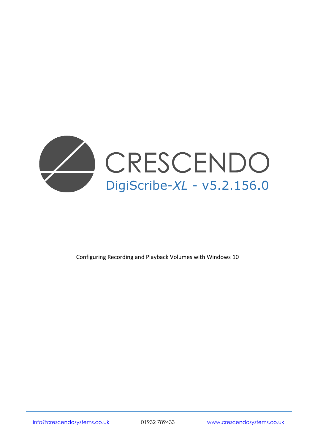

Configuring Recording and Playback Volumes with Windows 10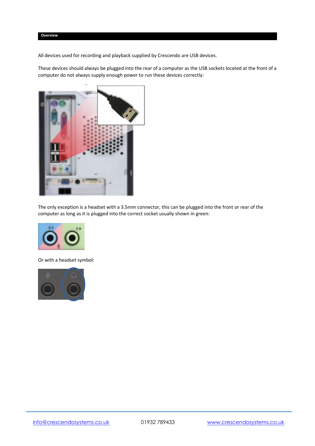All devices used for recording and playback supplied by Crescendo are USB devices.

These devices should always be plugged into the rear of a computer as the USB sockets located at the front of a computer do not always supply enough power to run these devices correctly:



The only exception is a headset with a 3.5mm connector, this can be plugged into the front or rear of the computer as long as it is plugged into the correct socket usually shown in green:



Or with a headset symbol:

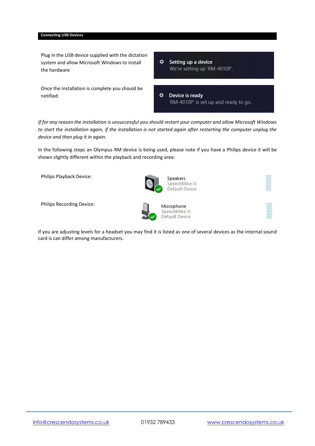## **Connecting USB Devices**

Plug in the USB device supplied with the dictation system and allow Microsoft Windows to install the hardware

Once the installation is complete you should be notified:

 $\ddot{\mathbf{v}}$ Setting up a device We're setting up 'RM-4010P'.

 $\ddot{\mathbf{v}}$ Device is ready 'RM-4010P' is set up and ready to go.

*If for any reason the installation is unsuccessful you should restart your computer and allow Microsoft Windows to start the installation again, if the installation is not started again after restarting the computer unplug the device and then plug it in again.*

In the following steps an Olympus RM device is being used, please note if you have a Philips device it will be shown slightly different within the playback and recording area:

Philips Playback Device:

Philips Recording Device:



Microphone SpeechMike III **Default Device** 

**Speakers** SpeechMike III Default Device

If you are adjusting levels for a headset you may find it is listed as one of several devices as the internal sound card is can differ among manufacturers.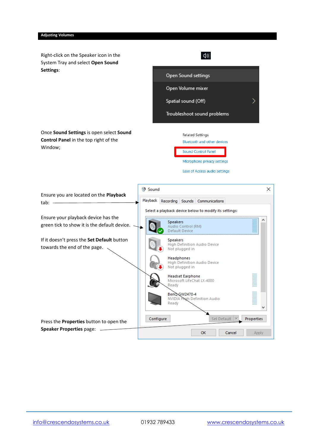Right-click on the Speaker icon in the System Tray and select **Open Sound Settings**:



Once **Sound Settings** is open select **Sound Control Panel** in the top right of the Window;



Microphone privacy settings

Ease of Access audio settings

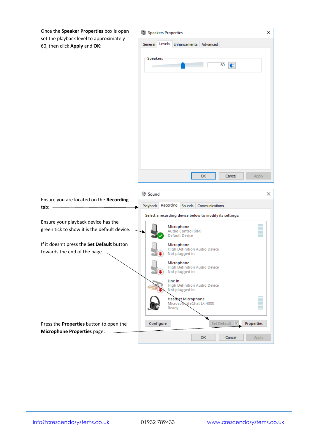Once the **Speaker Properties** box is open set the playback level to approximately 60, then click **Apply** and **OK**:



tab: -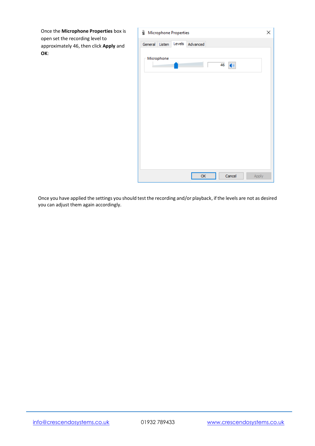Once the **Microphone Properties** box is open set the recording level to approximately 46, then click **Apply** and **OK**:



Once you have applied the settings you should test the recording and/or playback, if the levels are not as desired you can adjust them again accordingly.